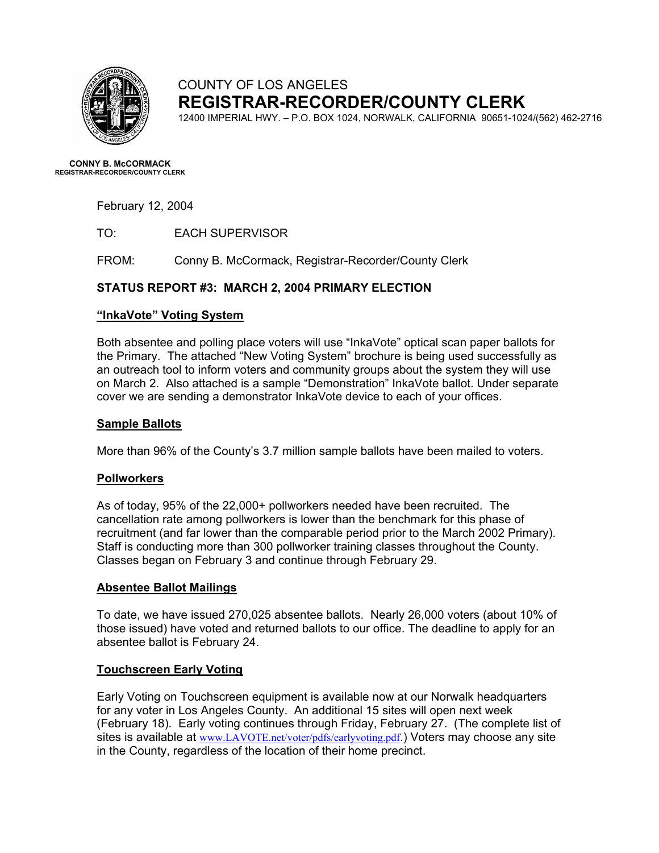

# COUNTY OF LOS ANGELES **REGISTRAR-RECORDER/COUNTY CLERK**

12400 IMPERIAL HWY. – P.O. BOX 1024, NORWALK, CALIFORNIA 90651-1024/(562) 462-2716

**CONNY B. McCORMACK REGISTRAR-RECORDER/COUNTY CLERK** 

February 12, 2004

TO: EACH SUPERVISOR

FROM: Conny B. McCormack, Registrar-Recorder/County Clerk

# **STATUS REPORT #3: MARCH 2, 2004 PRIMARY ELECTION**

### **"InkaVote" Voting System**

Both absentee and polling place voters will use "InkaVote" optical scan paper ballots for the Primary. The attached "New Voting System" brochure is being used successfully as an outreach tool to inform voters and community groups about the system they will use on March 2. Also attached is a sample "Demonstration" InkaVote ballot. Under separate cover we are sending a demonstrator InkaVote device to each of your offices.

## **Sample Ballots**

More than 96% of the County's 3.7 million sample ballots have been mailed to voters.

# **Pollworkers**

As of today, 95% of the 22,000+ pollworkers needed have been recruited. The cancellation rate among pollworkers is lower than the benchmark for this phase of recruitment (and far lower than the comparable period prior to the March 2002 Primary). Staff is conducting more than 300 pollworker training classes throughout the County. Classes began on February 3 and continue through February 29.

#### **Absentee Ballot Mailings**

To date, we have issued 270,025 absentee ballots. Nearly 26,000 voters (about 10% of those issued) have voted and returned ballots to our office. The deadline to apply for an absentee ballot is February 24.

# **Touchscreen Early Voting**

Early Voting on Touchscreen equipment is available now at our Norwalk headquarters for any voter in Los Angeles County. An additional 15 sites will open next week (February 18). Early voting continues through Friday, February 27. (The complete list of sites is available at [www.LAVOTE.net/voter/pdfs/earlyvoting.pdf](http://www.lavote.net/voter/pdfs/earlyvoting.pdf).) Voters may choose any site in the County, regardless of the location of their home precinct.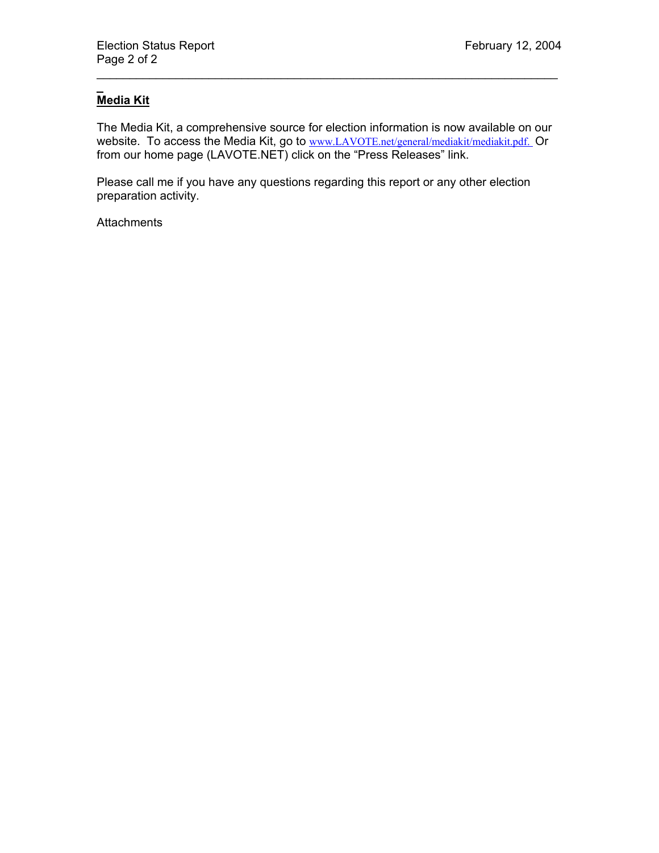#### $\overline{\phantom{a}}$ **Media Kit**

The Media Kit, a comprehensive source for election information is now available on our website. To access the Media Kit, go to [www.LAVOTE.net/general/mediakit/mediakit.pdf.](http://www.lavote.net/general/mediakit/mediakit.pdf) Or from our home page (LAVOTE.NET) click on the "Press Releases" link.

\_\_\_\_\_\_\_\_\_\_\_\_\_\_\_\_\_\_\_\_\_\_\_\_\_\_\_\_\_\_\_\_\_\_\_\_\_\_\_\_\_\_\_\_\_\_\_\_\_\_\_\_\_\_\_\_\_\_\_\_\_\_\_\_\_\_\_\_\_\_

Please call me if you have any questions regarding this report or any other election preparation activity.

**Attachments**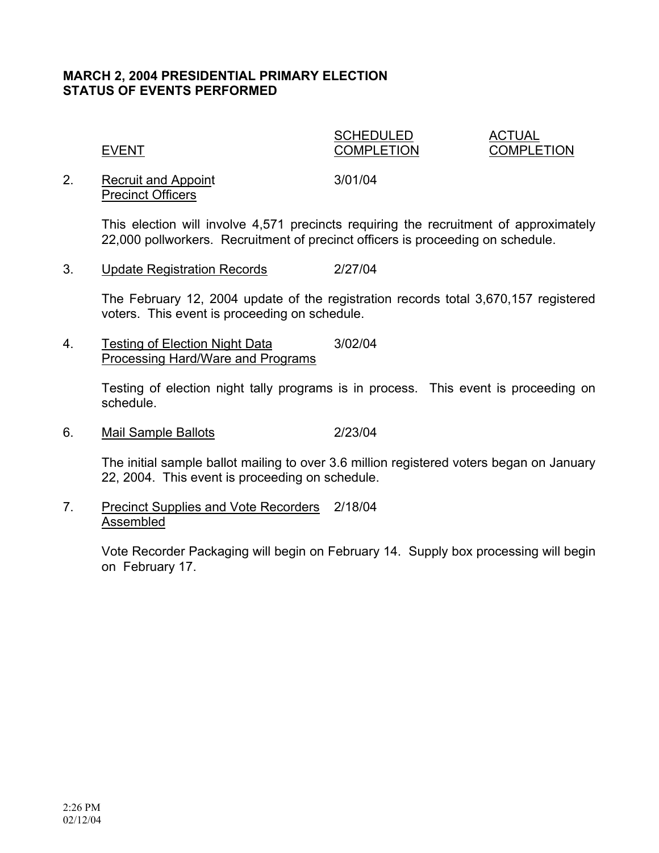# **MARCH 2, 2004 PRESIDENTIAL PRIMARY ELECTION STATUS OF EVENTS PERFORMED**

SCHEDULED ACTUAL

EVENT COMPLETION COMPLETION

2. Recruit and Appoint 3/01/04 Precinct Officers

This election will involve 4,571 precincts requiring the recruitment of approximately 22,000 pollworkers. Recruitment of precinct officers is proceeding on schedule.

3. Update Registration Records 2/27/04

The February 12, 2004 update of the registration records total 3,670,157 registered voters. This event is proceeding on schedule.

4. Testing of Election Night Data 3/02/04 Processing Hard/Ware and Programs

> Testing of election night tally programs is in process. This event is proceeding on schedule.

6. Mail Sample Ballots 2/23/04

The initial sample ballot mailing to over 3.6 million registered voters began on January 22, 2004. This event is proceeding on schedule.

7. Precinct Supplies and Vote Recorders 2/18/04 Assembled

> Vote Recorder Packaging will begin on February 14. Supply box processing will begin on February 17.